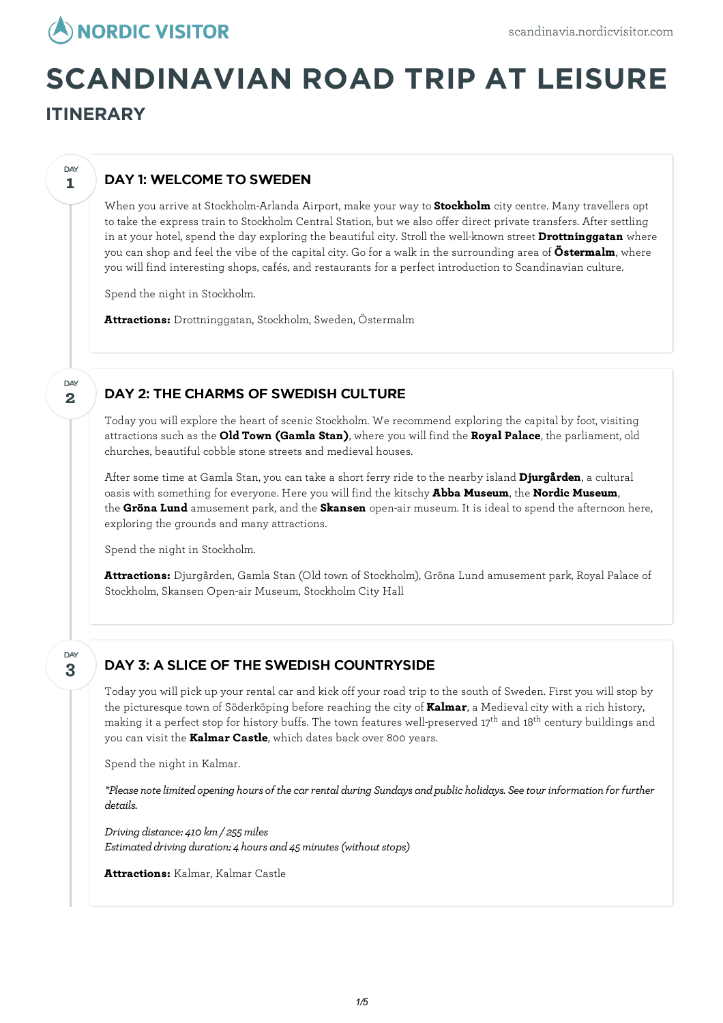

# **SCANDINAVIAN ROAD TRIP AT LEISURE ITINERARY**

# DAY 1: WELCOME TO SWEDEN

When you arrive at Stockholm-Arlanda Airport, make your way to **Stockholm** city centre. Many travellers opt to take the express train to Stockholm Central Station, but we also offer direct private transfers. After settling in at your hotel, spend the day exploring the beautiful city. Stroll the well-known street **Drottninggatan** where you can shop and feel the vibe of the capital city. Go for a walk in the surrounding area of **Östermalm**, where you will find interesting shops, cafés, and restaurants for a perfect introduction to Scandinavian culture.

Spend the night in Stockholm.

**Attractions:** Drottninggatan, Stockholm, Sweden, Östermalm

# DAY 2: THE CHARMS OF SWEDISH CULTURE

Today you willexplore the heart of scenic Stockholm. We recommend exploring the capital by foot, visiting attractions such as the **Old Town (Gamla Stan)**, where you will find the **Royal Palace**, the parliament, old churches, beautiful cobble stone streets and medieval houses.

After some time at Gamla Stan, you can take a short ferry ride to the nearby island **Djurgården**, a cultural oasis with something for everyone. Here you will find the kitschy **Abba Museum**, the **Nordic Museum**, the **Gröna Lund** amusement park, and the **Skansen** open-air museum. It is ideal to spend the afternoon here, exploring the grounds and many attractions.

Spend the night in Stockholm.

**Attractions:** Djurgården, Gamla Stan (Old town of Stockholm), Gröna Lund amusement park, Royal Palace of Stockholm, Skansen Open-air Museum, Stockholm City Hall

#### **3** DAY

**1**

**DAY** 

**2**

**DAY** 

## DAY 3: A SLICE OF THE SWEDISH COUNTRYSIDE

Today you will pick up your rental car and kick off your road trip to the south of Sweden. First you will stop by the picturesque town of Söderköping before reaching the city of **Kalmar**, a Medieval city with a rich history, making it a perfect stop for history buffs. The town features well-preserved 17<sup>th</sup> and 18<sup>th</sup> century buildings and you can visit the **Kalmar Castle**, which dates back over 800 years.

Spend the night in Kalmar.

*\*Please notelimitedopening hours of thecar rental during Sundays andpublic holidays. Seetour information for further details.*

*Driving distance: 410 km/ 255miles Estimated driving duration: 4 hours and 45 minutes (without stops)* 

**Attractions:** Kalmar, Kalmar Castle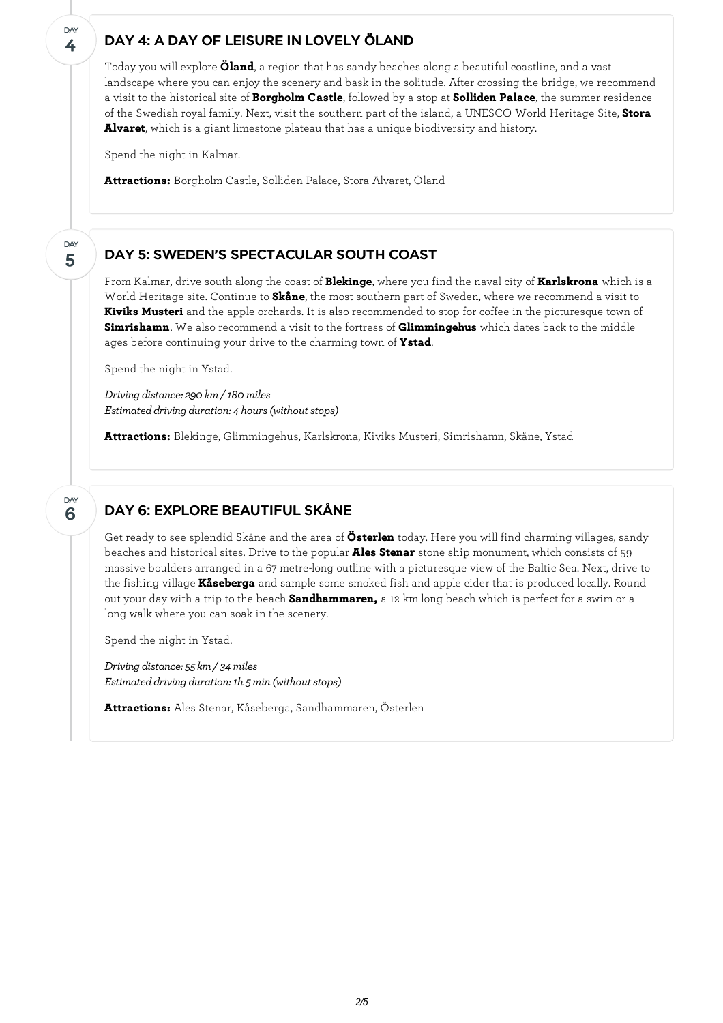#### **4 DAY**

**5**

DAY

**6**

**DAY** 

#### DAY 4: A DAY OF LEISURE IN LOVELY ÖLAND

Today you willexplore **Öland**, a region that has sandy beaches along a beautiful coastline, and a vast landscape where you can enjoy the scenery and bask in the solitude. After crossing the bridge, we recommend a visit to the historical site of **Borgholm Castle**, followed by a stop at **Solliden Palace**, the summer residence of the Swedish royal family. Next, visit the southern part of the island, a UNESCO World Heritage Site, **Stora Alvaret**, which is a giant limestone plateau that has a unique biodiversity and history.

Spend the night in Kalmar.

**Attractions:** Borgholm Castle, Solliden Palace, Stora Alvaret, Öland

#### DAY 5: SWEDEN'S SPECTACULAR SOUTH COAST

From Kalmar, drive south along the coast of **Blekinge**, where you find the naval city of **Karlskrona** which is a World Heritage site. Continue to **Skåne**, the most southern part of Sweden, where we recommend a visit to **Kiviks Musteri** and the apple orchards. It is also recommended to stop for coffee in the picturesque town of **Simrishamn**. We also recommend a visit to the fortress of **Glimmingehus** which dates back to the middle ages before continuing your drive to the charming town of **Ystad**.

Spend the night in Ystad.

*Driving distance: 290 km/ 180miles Estimated driving duration: 4 hours (without stops)* 

**Attractions:** Blekinge, Glimmingehus, Karlskrona, Kiviks Musteri, Simrishamn, Skåne, Ystad

#### DAY 6: EXPLORE BEAUTIFUL SKÅNE

Get ready to see splendid Skåne and the area of **Österlen** today. Here you will find charming villages, sandy beaches and historical sites. Drive to the popular **Ales Stenar** stone ship monument, which consists of 59 massive boulders arranged in a 67 metre-long outline with a picturesque view of the Baltic Sea. Next, drive to the fishing village **Kåseberga** and sample some smoked fish and apple cider that is produced locally. Round out your day with a trip to the beach **Sandhammaren,** a 12 km long beach which is perfect for a swim or a long walk where you can soak in the scenery.

Spend the night in Ystad.

*Driving distance: 55 km/ 34miles Estimated driving duration: 1h 5 min* (without stops)

**Attractions:** Ales Stenar, Kåseberga, Sandhammaren, Österlen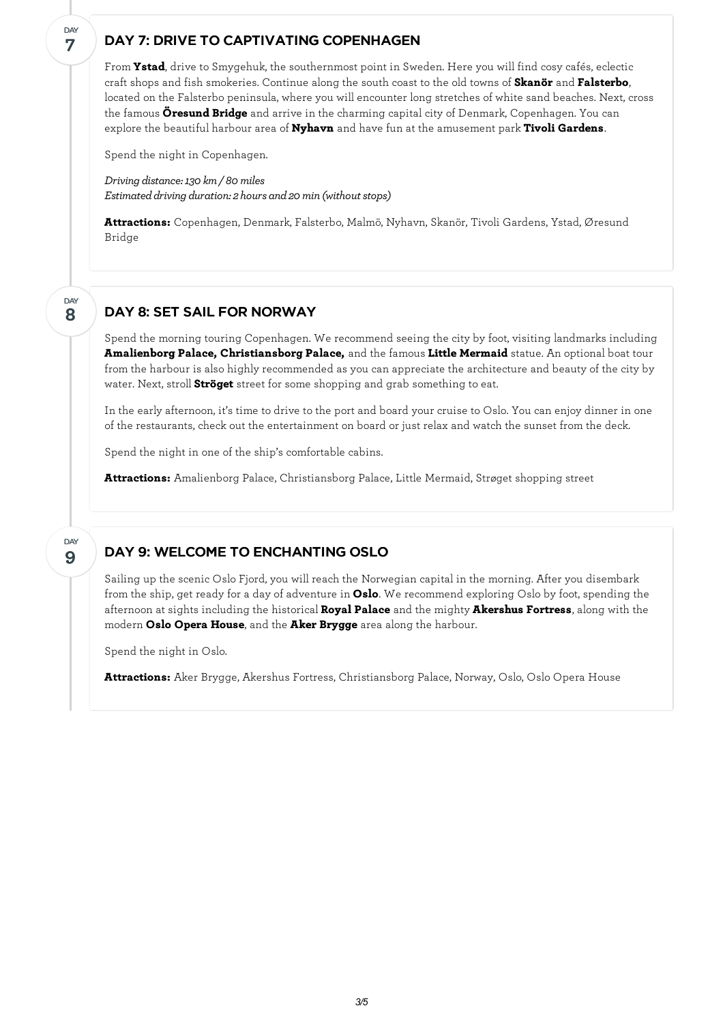### DAY 7: DRIVE TO CAPTIVATING COPENHAGEN

From **Ystad**, drive to Smygehuk, the southernmost point in Sweden. Here you will find cosy cafés, eclectic craft shops and fish smokeries. Continue along the south coast to the old towns of **Skanör** and **Falsterbo**, located on the Falsterbo peninsula, where you willencounter long stretches of white sand beaches. Next, cross the famous **Öresund Bridge** and arrive in the charming capital city of Denmark, Copenhagen. You can explore the beautiful harbour area of **Nyhavn** and have fun at the amusement park **Tivoli Gardens**.

Spend the night in Copenhagen.

**7**

**DAY** 

**8**

DAY

**9**

DAY

*Driving distance:130 km/ 80miles Estimated driving duration: 2 hours and 20 min (without stops)* 

**Attractions:** Copenhagen, Denmark, Falsterbo, Malmö, Nyhavn, Skanör, Tivoli Gardens, Ystad, Øresund Bridge

#### DAY 8: SET SAIL FOR NORWAY

Spend the morning touring Copenhagen. We recommend seeing the city by foot, visiting landmarks including **Amalienborg Palace, Christiansborg Palace,** and the famous **Little Mermaid** statue. An optional boat tour from the harbour is also highly recommended as you can appreciate the architecture and beauty of the city by water. Next, stroll **Ströget** street for some shopping and grab something to eat.

In the early afternoon, it's time to drive to the port and board your cruise to Oslo. You can enjoy dinner in one of the restaurants, check out the entertainment on board or just relax and watch the sunset from the deck.

Spend the night in one of the ship's comfortable cabins.

**Attractions:** Amalienborg Palace, Christiansborg Palace, Little Mermaid, Strøget shopping street

## DAY 9: WELCOME TO ENCHANTING OSLO

Sailing up the scenic Oslo Fjord, you will reach the Norwegian capital in the morning. After you disembark from the ship, get ready for a day of adventure in **Oslo**. We recommend exploring Oslo by foot, spending the afternoon at sights including the historical **Royal Palace** and the mighty **Akershus Fortress**, along with the modern **Oslo Opera House**, and the **Aker Brygge** area along the harbour.

Spend the night in Oslo.

**Attractions:** Aker Brygge, Akershus Fortress, Christiansborg Palace, Norway, Oslo, Oslo Opera House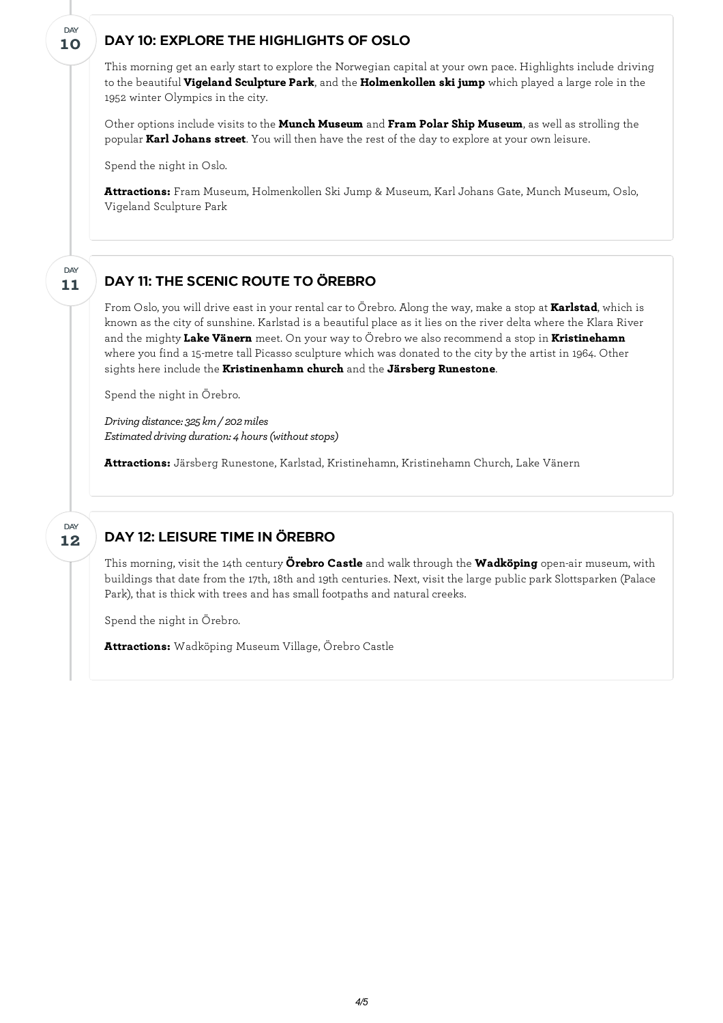# DAY 10: EXPLORE THE HIGHLIGHTS OF OSLO

This morning get an early start to explore the Norwegian capital at your own pace. Highlights include driving to the beautiful **Vigeland Sculpture Park**, and the **Holmenkollen ski jump** which played a large role in the 1952 winter Olympics in the city.

Other options include visits to the **Munch Museum** and **Fram Polar Ship Museum**, as well as strolling the popular **Karl Johans street**. You will then have the rest of the day to explore at your own leisure.

Spend the night in Oslo.

**10**

DAY

**Attractions:** Fram Museum, Holmenkollen Ski Jump & Museum, Karl Johans Gate, Munch Museum, Oslo, Vigeland Sculpture Park

#### DAY 11: THE SCENIC ROUTE TO ÖREBRO **11** DAY

From Oslo, you will drive east in your rental car to Örebro. Along the way, make a stop at **Karlstad**, which is known as the city of sunshine. Karlstad is a beautiful place as it lies on the river delta where the Klara River and the mighty **Lake Vänern** meet. On your way to Örebro we also recommend a stop in **Kristinehamn** where you find a 15-metre tall Picasso sculpture which was donated to the city by the artist in 1964. Other sights here include the **Kristinenhamn church** and the **Järsberg Runestone**.

Spend the night in Örebro.

*Driving distance: 325 km/ 202miles Estimated driving duration: 4 hours (without stops)* 

**Attractions:** Järsberg Runestone, Karlstad, Kristinehamn, Kristinehamn Church, Lake Vänern

#### DAY 12: LEISURE TIME IN ÖREBRO **12** DAY

This morning, visit the 14th century **Örebro Castle** and walk through the **Wadköping** open-air museum, with buildings that date from the 17th, 18th and 19th centuries. Next, visit the large public park Slottsparken (Palace Park), that is thick with trees and has small footpaths and natural creeks.

Spend the night in Örebro.

**Attractions:** Wadköping Museum Village, Örebro Castle